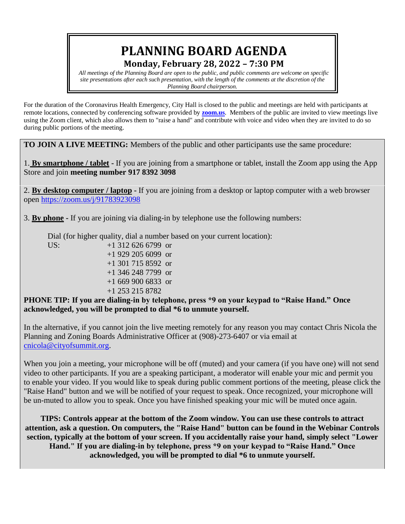# **PLANNING BOARD AGENDA Monday, February 28, 2022 – 7:30 PM**

*All meetings of the Planning Board are open to the public, and public comments are welcome on specific site presentations after each such presentation, with the length of the comments at the discretion of the Planning Board chairperson.*

For the duration of the Coronavirus Health Emergency, City Hall is closed to the public and meetings are held with participants at remote locations, connected by conferencing software provided by **[zoom.us](https://zoom.us/)**. Members of the public are invited to view meetings live using the Zoom client, which also allows them to "raise a hand" and contribute with voice and video when they are invited to do so during public portions of the meeting.

**TO JOIN A LIVE MEETING:** Members of the public and other participants use the same procedure:

1. **By smartphone / tablet -** If you are joining from a smartphone or tablet, install the Zoom app using the App Store and join **meeting number 917 8392 3098**

2. **By desktop computer / laptop -** If you are joining from a desktop or laptop computer with a web browser open <https://zoom.us/j/91783923098>

3. **By phone -** If you are joining via dialing-in by telephone use the following numbers:

Dial (for higher quality, dial a number based on your current location):

US:  $+1,312,626,6799$  or +1 929 205 6099 or +1 301 715 8592 or +1 346 248 7799 or +1 669 900 6833 or +1 253 215 8782

**PHONE TIP: If you are dialing-in by telephone, press \*9 on your keypad to "Raise Hand." Once acknowledged, you will be prompted to dial \*6 to unmute yourself.**

In the alternative, if you cannot join the live meeting remotely for any reason you may contact Chris Nicola the Planning and Zoning Boards Administrative Officer at (908)-273-6407 or via email at [cnicola@cityofsummit.org.](mailto:cnicola@cityofsummit.org)

When you join a meeting, your microphone will be off (muted) and your camera (if you have one) will not send video to other participants. If you are a speaking participant, a moderator will enable your mic and permit you to enable your video. If you would like to speak during public comment portions of the meeting, please click the "Raise Hand" button and we will be notified of your request to speak. Once recognized, your microphone will be un-muted to allow you to speak. Once you have finished speaking your mic will be muted once again.

**TIPS: Controls appear at the bottom of the Zoom window. You can use these controls to attract attention, ask a question. On computers, the "Raise Hand" button can be found in the Webinar Controls section, typically at the bottom of your screen. If you accidentally raise your hand, simply select "Lower Hand." If you are dialing-in by telephone, press \*9 on your keypad to "Raise Hand." Once acknowledged, you will be prompted to dial \*6 to unmute yourself.**